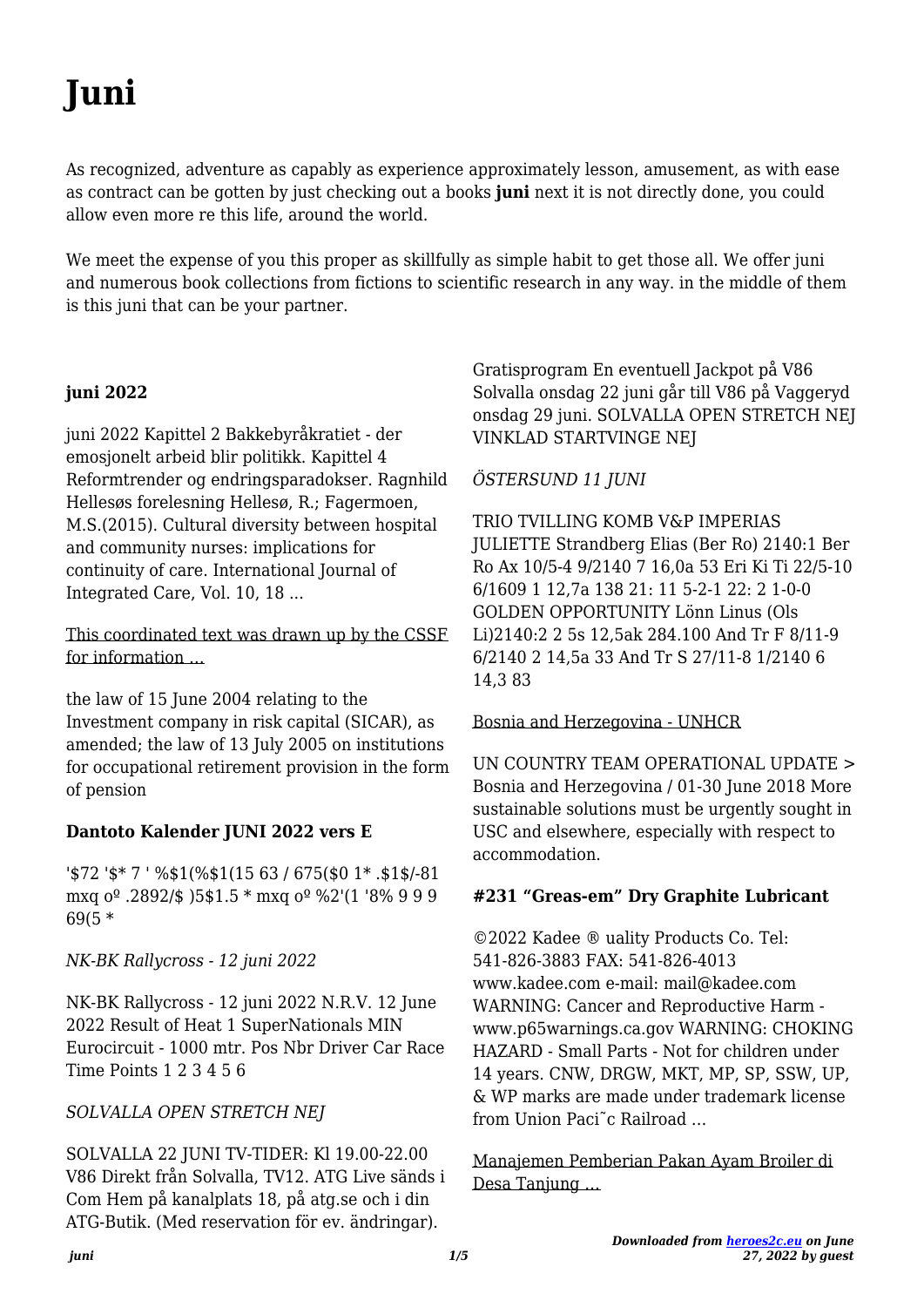# Juni

As recognized, adventure as capably as experience approximately lesson, amusement, as with ease as contract can be gotten by just checking out a books juni next it is not directly done, you could allow even more re this life, around the world.

We meet the expense of you this proper as skillfully as simple habit to get those all. We offer juni and numerous book collections from fictions to scientific research in any way, in the middle of them is this juni that can be your partner.

## juni 2022

juni 2022 Kapittel 2 Bakkebyråkratiet - der emosjonelt arbeid blir politikk. Kapittel 4 Reformtrender og endringsparadokser. Ragnhild Hellesøs forelesning Hellesø, R.; Fagermoen, M.S.(2015). Cultural diversity between hospital and community nurses: implications for continuity of care. International Journal of Integrated Care, Vol. 10, 18...

This coordinated text was drawn up by the CSSF for information ...

the law of 15 June 2004 relating to the Investment company in risk capital (SICAR), as amended; the law of 13 July 2005 on institutions for occupational retirement provision in the form of pension

## Dantoto Kalender JUNI 2022 vers E

'\$72 '\$\* 7 ' %\$1(%\$1(15 63 / 675(\$0 1 \*. \$1\$/-81 mxq o<sup>o</sup> .2892/\$ )5\$1.5 \* mxq o<sup>o</sup> %2'(1 '8% 9 9 9  $69(5 *$ 

NK-BK Rallycross - 12 juni 2022

NK-BK Rallycross - 12 juni 2022 N.R.V. 12 June 2022 Result of Heat 1 SuperNationals MIN Eurocircuit - 1000 mtr. Pos Nbr Driver Car Race Time Points 1 2 3 4 5 6

## SOLVALLA OPEN STRETCH NEJ

SOLVALLA 22 JUNI TV-TIDER: KI 19.00-22.00 V86 Direkt från Solvalla, TV12. ATG Live sänds i Com Hem på kanalplats 18, på atg.se och i din ATG-Butik. (Med reservation för ev. ändringar).

Gratisprogram En eventuell Jackpot på V86 Solvalla onsdag 22 juni går till V86 på Vaggeryd onsdag 29 juni. SOLVALLA OPEN STRETCH NEJ **VINKLAD STARTVINGE NEI** 

## ÖSTERSUND 11 JUNI

TRIO TVILLING KOMB V&P IMPERIAS **JULIETTE Strandberg Elias (Ber Ro) 2140:1 Ber** Ro Ax 10/5-4 9/2140 7 16,0a 53 Eri Ki Ti 22/5-10 6/1609 1 12,7a 138 21: 11 5-2-1 22: 2 1-0-0 **GOLDEN OPPORTUNITY Lönn Linus (Ols** Li)2140:2 2 5s 12,5ak 284.100 And Tr F 8/11-9 6/2140 2 14,5a 33 And Tr S 27/11-8 1/2140 6 14.383

Bosnia and Herzegovina - UNHCR

**IIN COUNTRY TEAM OPERATIONAL UPDATE >** Bosnia and Herzegovina / 01-30 June 2018 More sustainable solutions must be urgently sought in USC and elsewhere, especially with respect to accommodation.

## #231 "Greas-em" Dry Graphite Lubricant

©2022 Kadee ® uality Products Co. Tel: 541-826-3883 FAX: 541-826-4013 www.kadee.com e-mail: mail@kadee.com WARNING: Cancer and Reproductive Harm www.p65warnings.ca.gov WARNING: CHOKING HAZARD - Small Parts - Not for children under 14 years. CNW, DRGW, MKT, MP, SP, SSW, UP, & WP marks are made under trademark license from Union Paci<sup>"</sup>c Railroad...

Manajemen Pemberian Pakan Ayam Broiler di Desa Tanjung ...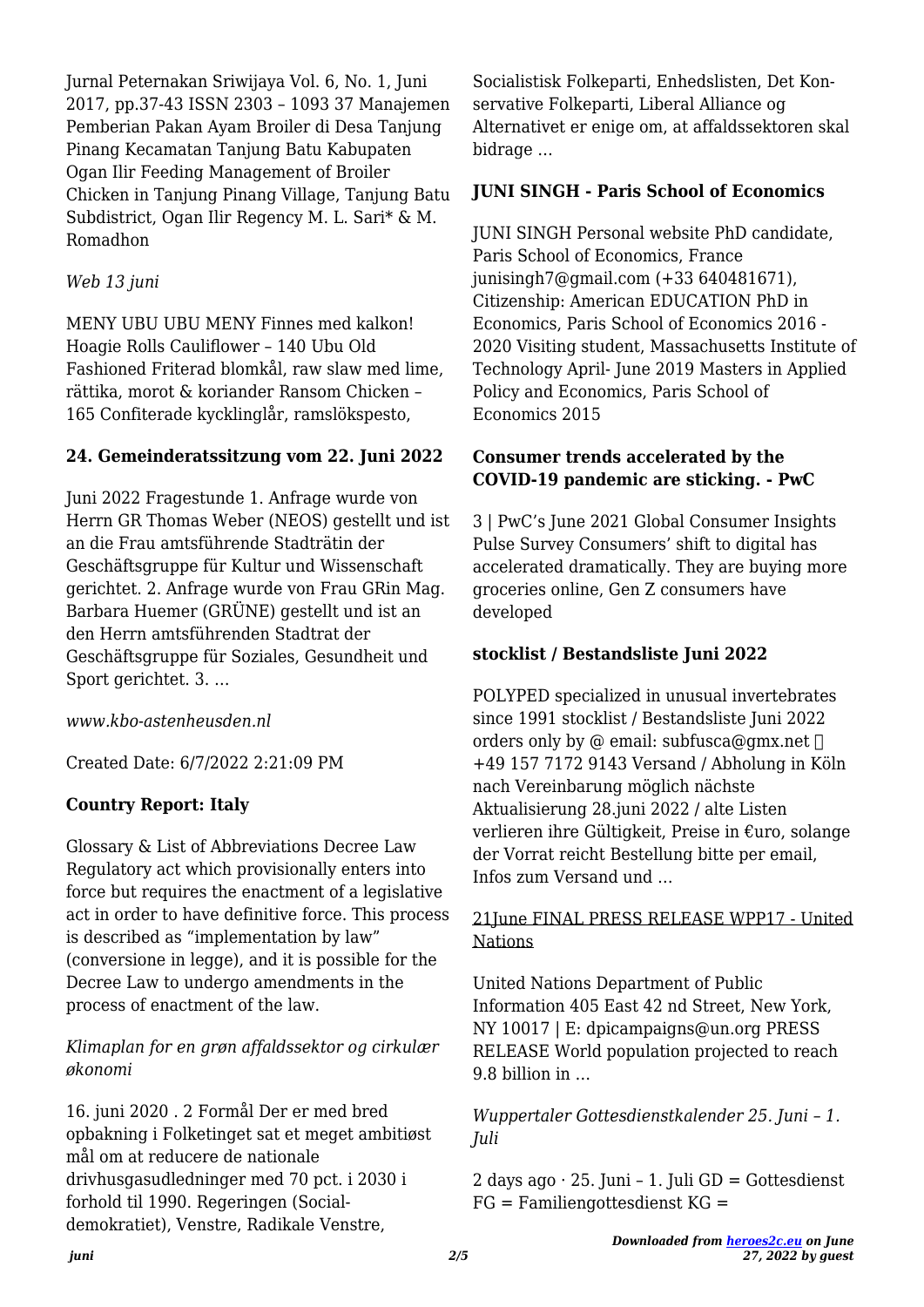Jurnal Peternakan Sriwijaya Vol. 6, No. 1, Juni 2017, pp.37-43 ISSN 2303 – 1093 37 Manajemen Pemberian Pakan Ayam Broiler di Desa Tanjung Pinang Kecamatan Tanjung Batu Kabupaten Ogan Ilir Feeding Management of Broiler Chicken in Tanjung Pinang Village, Tanjung Batu Subdistrict, Ogan Ilir Regency M. L. Sari\* & M. Romadhon

## *Web 13 juni*

MENY UBU UBU MENY Finnes med kalkon! Hoagie Rolls Cauliflower – 140 Ubu Old Fashioned Friterad blomkål, raw slaw med lime, rättika, morot & koriander Ransom Chicken – 165 Confiterade kycklinglår, ramslökspesto,

# **24. Gemeinderatssitzung vom 22. Juni 2022**

Juni 2022 Fragestunde 1. Anfrage wurde von Herrn GR Thomas Weber (NEOS) gestellt und ist an die Frau amtsführende Stadträtin der Geschäftsgruppe für Kultur und Wissenschaft gerichtet. 2. Anfrage wurde von Frau GRin Mag. Barbara Huemer (GRÜNE) gestellt und ist an den Herrn amtsführenden Stadtrat der Geschäftsgruppe für Soziales, Gesundheit und Sport gerichtet. 3. …

*www.kbo-astenheusden.nl*

Created Date: 6/7/2022 2:21:09 PM

# **Country Report: Italy**

Glossary & List of Abbreviations Decree Law Regulatory act which provisionally enters into force but requires the enactment of a legislative act in order to have definitive force. This process is described as "implementation by law" (conversione in legge), and it is possible for the Decree Law to undergo amendments in the process of enactment of the law.

# *Klimaplan for en grøn affaldssektor og cirkulær økonomi*

16. juni 2020 . 2 Formål Der er med bred opbakning i Folketinget sat et meget ambitiøst mål om at reducere de nationale drivhusgasudledninger med 70 pct. i 2030 i forhold til 1990. Regeringen (Socialdemokratiet), Venstre, Radikale Venstre,

Socialistisk Folkeparti, Enhedslisten, Det Konservative Folkeparti, Liberal Alliance og Alternativet er enige om, at affaldssektoren skal bidrage …

# **JUNI SINGH - Paris School of Economics**

JUNI SINGH Personal website PhD candidate, Paris School of Economics, France junisingh7@gmail.com (+33 640481671), Citizenship: American EDUCATION PhD in Economics, Paris School of Economics 2016 - 2020 Visiting student, Massachusetts Institute of Technology April- June 2019 Masters in Applied Policy and Economics, Paris School of Economics 2015

# **Consumer trends accelerated by the COVID-19 pandemic are sticking. - PwC**

3 | PwC's June 2021 Global Consumer Insights Pulse Survey Consumers' shift to digital has accelerated dramatically. They are buying more groceries online, Gen Z consumers have developed

# **stocklist / Bestandsliste Juni 2022**

POLYPED specialized in unusual invertebrates since 1991 stocklist / Bestandsliste Juni 2022 orders only by @ email: subfusca@gmx.net  $\Box$ +49 157 7172 9143 Versand / Abholung in Köln nach Vereinbarung möglich nächste Aktualisierung 28.juni 2022 / alte Listen verlieren ihre Gültigkeit, Preise in €uro, solange der Vorrat reicht Bestellung bitte per email, Infos zum Versand und …

# 21June FINAL PRESS RELEASE WPP17 - United Nations

United Nations Department of Public Information 405 East 42 nd Street, New York, NY 10017 | E: dpicampaigns@un.org PRESS RELEASE World population projected to reach 9.8 billion in …

*Wuppertaler Gottesdienstkalender 25. Juni – 1. Juli*

2 days ago  $\cdot$  25. Juni – 1. Juli GD = Gottesdienst  $FG = Familiengottesdienst KG =$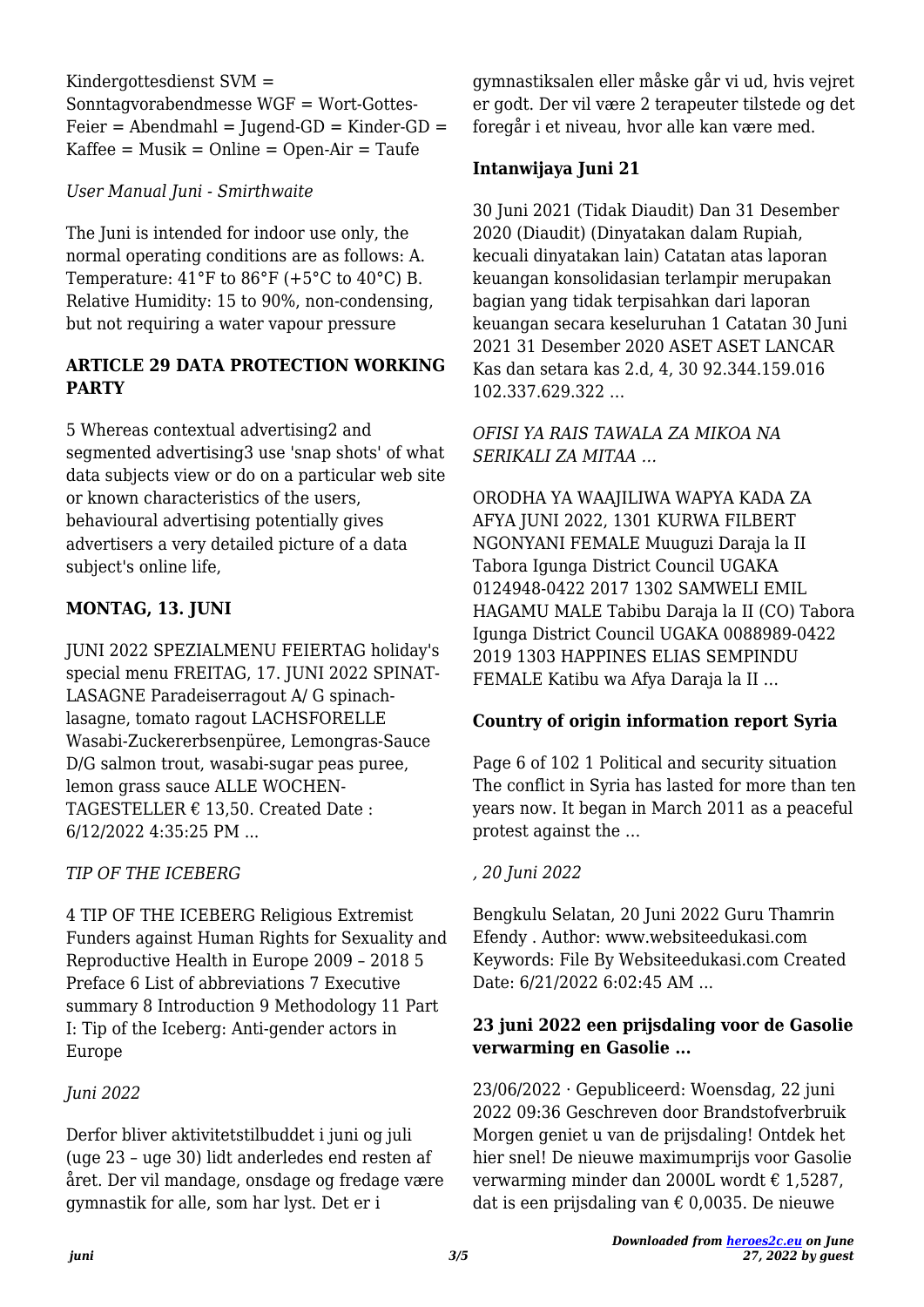Kindergottesdienst SVM = Sonntagvorabendmesse WGF = Wort-Gottes- $Feier = Abendmahl = Juqend-GD = Kinder-GD =$  $Kaffee = Musik = Online = Open-Air = Taufe$ 

*User Manual Juni - Smirthwaite*

The Juni is intended for indoor use only, the normal operating conditions are as follows: A. Temperature:  $41^{\circ}$ F to  $86^{\circ}$ F (+5 $^{\circ}$ C to  $40^{\circ}$ C) B. Relative Humidity: 15 to 90%, non-condensing, but not requiring a water vapour pressure

# **ARTICLE 29 DATA PROTECTION WORKING PARTY**

5 Whereas contextual advertising2 and segmented advertising3 use 'snap shots' of what data subjects view or do on a particular web site or known characteristics of the users, behavioural advertising potentially gives advertisers a very detailed picture of a data subject's online life,

# **MONTAG, 13. JUNI**

JUNI 2022 SPEZIALMENU FEIERTAG holiday's special menu FREITAG, 17. JUNI 2022 SPINAT-LASAGNE Paradeiserragout A/ G spinachlasagne, tomato ragout LACHSFORELLE Wasabi-Zuckererbsenpüree, Lemongras-Sauce D/G salmon trout, wasabi-sugar peas puree, lemon grass sauce ALLE WOCHEN-TAGESTELLER  $\epsilon$  13.50. Created Date: 6/12/2022 4:35:25 PM ...

# *TIP OF THE ICEBERG*

4 TIP OF THE ICEBERG Religious Extremist Funders against Human Rights for Sexuality and Reproductive Health in Europe 2009 – 2018 5 Preface 6 List of abbreviations 7 Executive summary 8 Introduction 9 Methodology 11 Part I: Tip of the Iceberg: Anti-gender actors in Europe

# *Juni 2022*

Derfor bliver aktivitetstilbuddet i juni og juli (uge 23 – uge 30) lidt anderledes end resten af året. Der vil mandage, onsdage og fredage være gymnastik for alle, som har lyst. Det er i

gymnastiksalen eller måske går vi ud, hvis vejret er godt. Der vil være 2 terapeuter tilstede og det foregår i et niveau, hvor alle kan være med.

# **Intanwijaya Juni 21**

30 Juni 2021 (Tidak Diaudit) Dan 31 Desember 2020 (Diaudit) (Dinyatakan dalam Rupiah, kecuali dinyatakan lain) Catatan atas laporan keuangan konsolidasian terlampir merupakan bagian yang tidak terpisahkan dari laporan keuangan secara keseluruhan 1 Catatan 30 Juni 2021 31 Desember 2020 ASET ASET LANCAR Kas dan setara kas 2.d, 4, 30 92.344.159.016 102.337.629.322 …

#### *OFISI YA RAIS TAWALA ZA MIKOA NA SERIKALI ZA MITAA …*

ORODHA YA WAAJILIWA WAPYA KADA ZA AFYA JUNI 2022, 1301 KURWA FILBERT NGONYANI FEMALE Muuguzi Daraja la II Tabora Igunga District Council UGAKA 0124948-0422 2017 1302 SAMWELI EMIL HAGAMU MALE Tabibu Daraja la II (CO) Tabora Igunga District Council UGAKA 0088989-0422 2019 1303 HAPPINES ELIAS SEMPINDU FEMALE Katibu wa Afya Daraja la II …

# **Country of origin information report Syria**

Page 6 of 102 1 Political and security situation The conflict in Syria has lasted for more than ten years now. It began in March 2011 as a peaceful protest against the …

# *, 20 Juni 2022*

Bengkulu Selatan, 20 Juni 2022 Guru Thamrin Efendy . Author: www.websiteedukasi.com Keywords: File By Websiteedukasi.com Created Date: 6/21/2022 6:02:45 AM ...

# **23 juni 2022 een prijsdaling voor de Gasolie verwarming en Gasolie ...**

23/06/2022 · Gepubliceerd: Woensdag, 22 juni 2022 09:36 Geschreven door Brandstofverbruik Morgen geniet u van de prijsdaling! Ontdek het hier snel! De nieuwe maximumprijs voor Gasolie verwarming minder dan 2000L wordt € 1,5287, dat is een prijsdaling van  $\epsilon$  0,0035. De nieuwe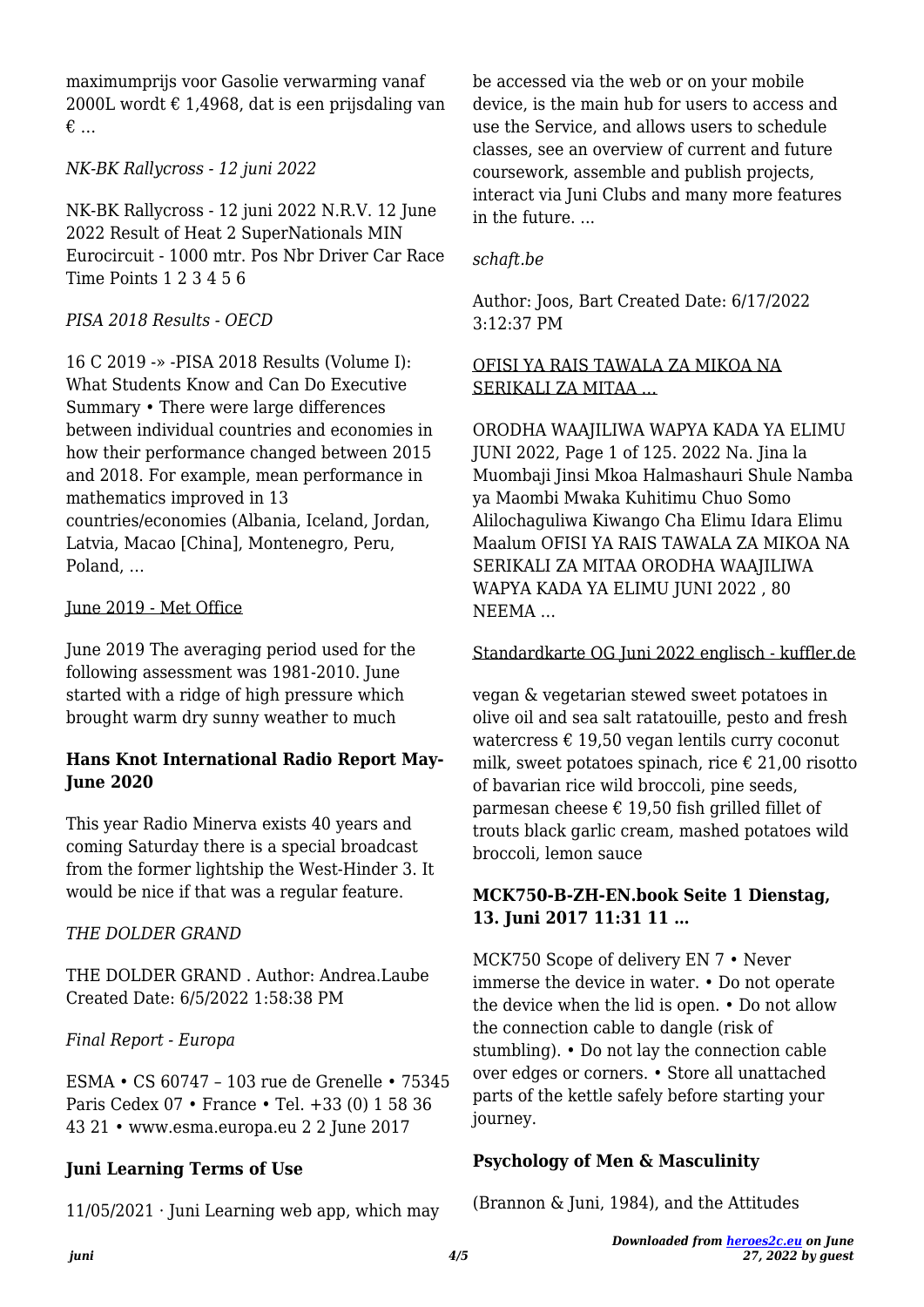maximumprijs voor Gasolie verwarming vanaf 2000L wordt  $\epsilon$  1,4968, dat is een prijsdaling van € …

# *NK-BK Rallycross - 12 juni 2022*

NK-BK Rallycross - 12 juni 2022 N.R.V. 12 June 2022 Result of Heat 2 SuperNationals MIN Eurocircuit - 1000 mtr. Pos Nbr Driver Car Race Time Points 1 2 3 4 5 6

# *PISA 2018 Results - OECD*

16 C 2019 -» -PISA 2018 Results (Volume I): What Students Know and Can Do Executive Summary • There were large differences between individual countries and economies in how their performance changed between 2015 and 2018. For example, mean performance in mathematics improved in 13 countries/economies (Albania, Iceland, Jordan, Latvia, Macao [China], Montenegro, Peru, Poland, …

#### June 2019 - Met Office

June 2019 The averaging period used for the following assessment was 1981-2010. June started with a ridge of high pressure which brought warm dry sunny weather to much

## **Hans Knot International Radio Report May-June 2020**

This year Radio Minerva exists 40 years and coming Saturday there is a special broadcast from the former lightship the West-Hinder 3. It would be nice if that was a regular feature.

# *THE DOLDER GRAND*

THE DOLDER GRAND . Author: Andrea.Laube Created Date: 6/5/2022 1:58:38 PM

## *Final Report - Europa*

ESMA • CS 60747 – 103 rue de Grenelle • 75345 Paris Cedex 07 • France • Tel. +33 (0) 1 58 36 43 21 • www.esma.europa.eu 2 2 June 2017

# **Juni Learning Terms of Use**

11/05/2021 · Juni Learning web app, which may

be accessed via the web or on your mobile device, is the main hub for users to access and use the Service, and allows users to schedule classes, see an overview of current and future coursework, assemble and publish projects, interact via Juni Clubs and many more features in the future. ...

#### *schaft.be*

Author: Joos, Bart Created Date: 6/17/2022 3:12:37 PM

#### OFISI YA RAIS TAWALA ZA MIKOA NA SERIKALI ZA MITAA …

ORODHA WAAJILIWA WAPYA KADA YA ELIMU JUNI 2022, Page 1 of 125. 2022 Na. Jina la Muombaji Jinsi Mkoa Halmashauri Shule Namba ya Maombi Mwaka Kuhitimu Chuo Somo Alilochaguliwa Kiwango Cha Elimu Idara Elimu Maalum OFISI YA RAIS TAWALA ZA MIKOA NA SERIKALI ZA MITAA ORODHA WAAJILIWA WAPYA KADA YA ELIMU JUNI 2022 , 80 NEEMA …

#### Standardkarte OG Juni 2022 englisch - kuffler.de

vegan & vegetarian stewed sweet potatoes in olive oil and sea salt ratatouille, pesto and fresh watercress  $\epsilon$  19,50 vegan lentils curry coconut milk, sweet potatoes spinach, rice  $\epsilon$  21,00 risotto of bavarian rice wild broccoli, pine seeds, parmesan cheese  $\epsilon$  19,50 fish grilled fillet of trouts black garlic cream, mashed potatoes wild broccoli, lemon sauce

#### **MCK750-B-ZH-EN.book Seite 1 Dienstag, 13. Juni 2017 11:31 11 …**

MCK750 Scope of delivery EN 7 • Never immerse the device in water. • Do not operate the device when the lid is open. • Do not allow the connection cable to dangle (risk of stumbling). • Do not lay the connection cable over edges or corners. • Store all unattached parts of the kettle safely before starting your journey.

## **Psychology of Men & Masculinity**

(Brannon & Juni, 1984), and the Attitudes